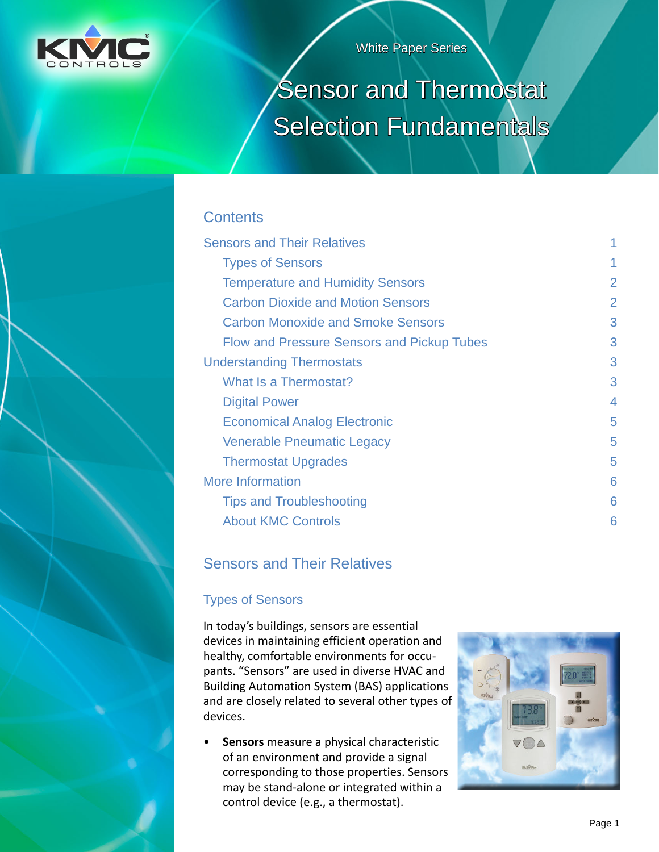

White Paper Series

# Sensor and Thermostat Selection Fundamentals

# **Contents**

| <b>Sensors and Their Relatives</b>                |                |
|---------------------------------------------------|----------------|
| <b>Types of Sensors</b>                           | 1              |
| <b>Temperature and Humidity Sensors</b>           | $\overline{2}$ |
| <b>Carbon Dioxide and Motion Sensors</b>          | $\overline{2}$ |
| <b>Carbon Monoxide and Smoke Sensors</b>          | 3              |
| <b>Flow and Pressure Sensors and Pickup Tubes</b> | 3              |
| <b>Understanding Thermostats</b>                  | 3              |
| What Is a Thermostat?                             | 3              |
| <b>Digital Power</b>                              | 4              |
| <b>Economical Analog Electronic</b>               | 5              |
| Venerable Pneumatic Legacy                        | 5              |
| <b>Thermostat Upgrades</b>                        | 5              |
| <b>More Information</b>                           | 6              |
| <b>Tips and Troubleshooting</b>                   | 6              |
| <b>About KMC Controls</b>                         | 6              |

# Sensors and Their Relatives

## Types of Sensors

In today's buildings, sensors are essential devices in maintaining efficient operation and healthy, comfortable environments for occupants. "Sensors" are used in diverse HVAC and Building Automation System (BAS) applications and are closely related to several other types of devices.

• **Sensors** measure a physical characteristic of an environment and provide a signal corresponding to those properties. Sensors may be stand-alone or integrated within a control device (e.g., a thermostat).

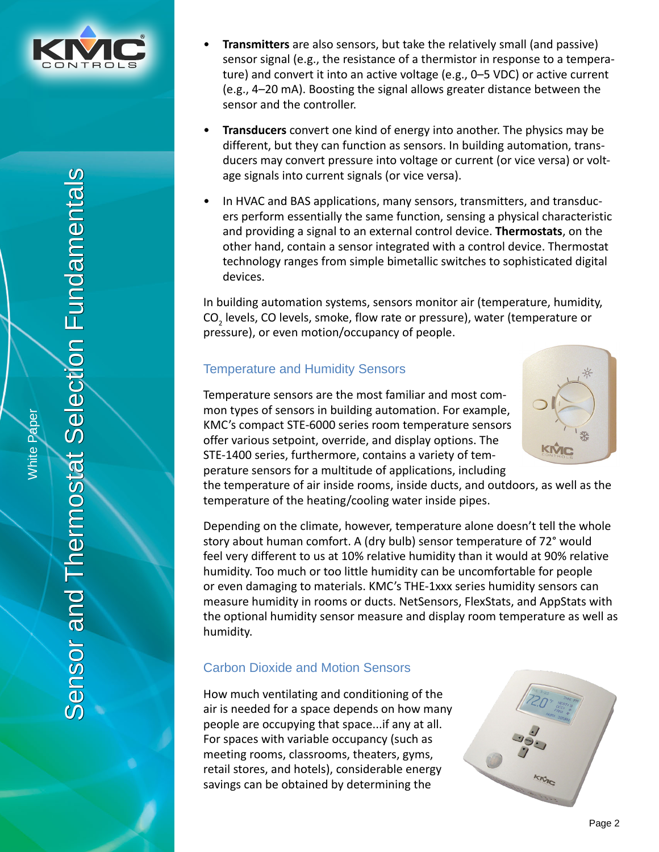<span id="page-1-0"></span>

ection Fundamentals Sensor and Thermostat Selection Fundamentals $\overline{\overline{\Theta}}$ Sensor and Thermostat

White Paper

**Mhite Paper** 

- **Transmitters** are also sensors, but take the relatively small (and passive) sensor signal (e.g., the resistance of a thermistor in response to a temperature) and convert it into an active voltage (e.g., 0–5 VDC) or active current (e.g., 4–20 mA). Boosting the signal allows greater distance between the sensor and the controller.
- **Transducers** convert one kind of energy into another. The physics may be different, but they can function as sensors. In building automation, transducers may convert pressure into voltage or current (or vice versa) or voltage signals into current signals (or vice versa).
- In HVAC and BAS applications, many sensors, transmitters, and transducers perform essentially the same function, sensing a physical characteristic and providing a signal to an external control device. **Thermostats**, on the other hand, contain a sensor integrated with a control device. Thermostat technology ranges from simple bimetallic switches to sophisticated digital devices.

In building automation systems, sensors monitor air (temperature, humidity, CO<sub>2</sub> levels, CO levels, smoke, flow rate or pressure), water (temperature or pressure), or even motion/occupancy of people.

## Temperature and Humidity Sensors



Temperature sensors are the most familiar and most common types of sensors in building automation. For example, KMC's compact STE-6000 series room temperature sensors offer various setpoint, override, and display options. The STE-1400 series, furthermore, contains a variety of temperature sensors for a multitude of applications, including

the temperature of air inside rooms, inside ducts, and outdoors, as well as the temperature of the heating/cooling water inside pipes.

Depending on the climate, however, temperature alone doesn't tell the whole story about human comfort. A (dry bulb) sensor temperature of 72° would feel very different to us at 10% relative humidity than it would at 90% relative humidity. Too much or too little humidity can be uncomfortable for people or even damaging to materials. KMC's THE-1xxx series humidity sensors can measure humidity in rooms or ducts. NetSensors, FlexStats, and AppStats with the optional humidity sensor measure and display room temperature as well as humidity.

## Carbon Dioxide and Motion Sensors

How much ventilating and conditioning of the air is needed for a space depends on how many people are occupying that space...if any at all. For spaces with variable occupancy (such as meeting rooms, classrooms, theaters, gyms, retail stores, and hotels), considerable energy savings can be obtained by determining the

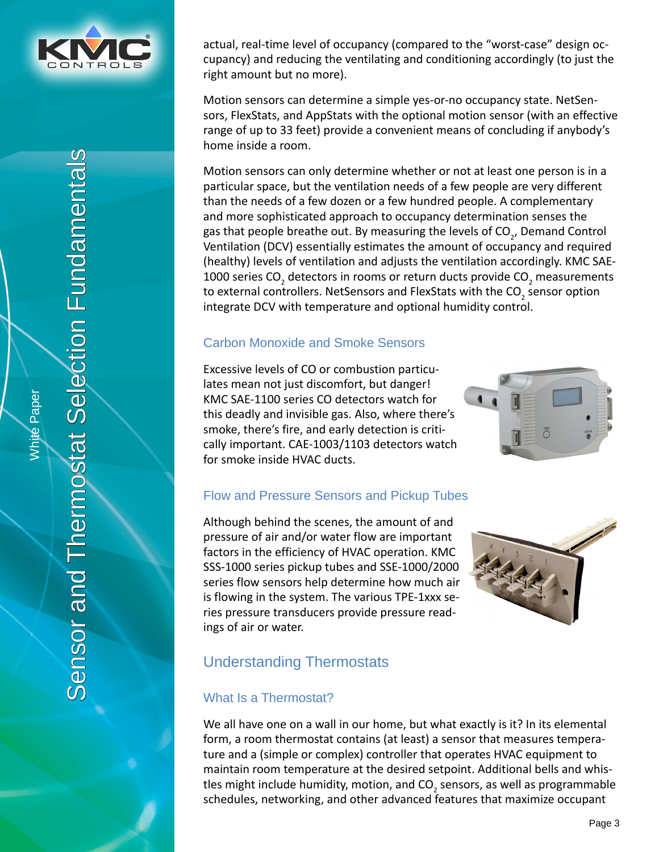<span id="page-2-0"></span>

actual, real-time level of occupancy (compared to the "worst-case" design occupancy) and reducing the ventilating and conditioning accordingly (to just the right amount but no more).

Motion sensors can determine a simple yes-or-no occupancy state. NetSensors, FlexStats, and AppStats with the optional motion sensor (with an effective range of up to 33 feet) provide a convenient means of concluding if anybody's home inside a room.

Motion sensors can only determine whether or not at least one person is in a particular space, but the ventilation needs of a few people are very different than the needs of a few dozen or a few hundred people. A complementary and more sophisticated approach to occupancy determination senses the gas that people breathe out. By measuring the levels of CO<sub>2</sub>, Demand Control Ventilation (DCV) essentially estimates the amount of occupancy and required (healthy) levels of ventilation and adjusts the ventilation accordingly. KMC SAE-1000 series CO<sub>2</sub> detectors in rooms or return ducts provide CO<sub>2</sub> measurements to external controllers. NetSensors and FlexStats with the CO<sub>2</sub> sensor option integrate DCV with temperature and optional humidity control.

#### Carbon Monoxide and Smoke Sensors

Excessive levels of CO or combustion particulates mean not just discomfort, but danger! KMC SAE-1100 series CO detectors watch for this deadly and invisible gas. Also, where there's smoke, there's fire, and early detection is critically important. CAE-1003/1103 detectors watch for smoke inside HVAC ducts.



## Flow and Pressure Sensors and Pickup Tubes

Although behind the scenes, the amount of and pressure of air and/or water flow are important factors in the efficiency of HVAC operation. KMC SSS-1000 series pickup tubes and SSE-1000/2000 series flow sensors help determine how much air is flowing in the system. The various TPE-1xxx series pressure transducers provide pressure readings of air or water.



# Understanding Thermostats

## What Is a Thermostat?

We all have one on a wall in our home, but what exactly is it? In its elemental form, a room thermostat contains (at least) a sensor that measures temperature and a (simple or complex) controller that operates HVAC equipment to maintain room temperature at the desired setpoint. Additional bells and whistles might include humidity, motion, and CO<sub>2</sub> sensors, as well as programmable schedules, networking, and other advanced features that maximize occupant

White Paper

White Paper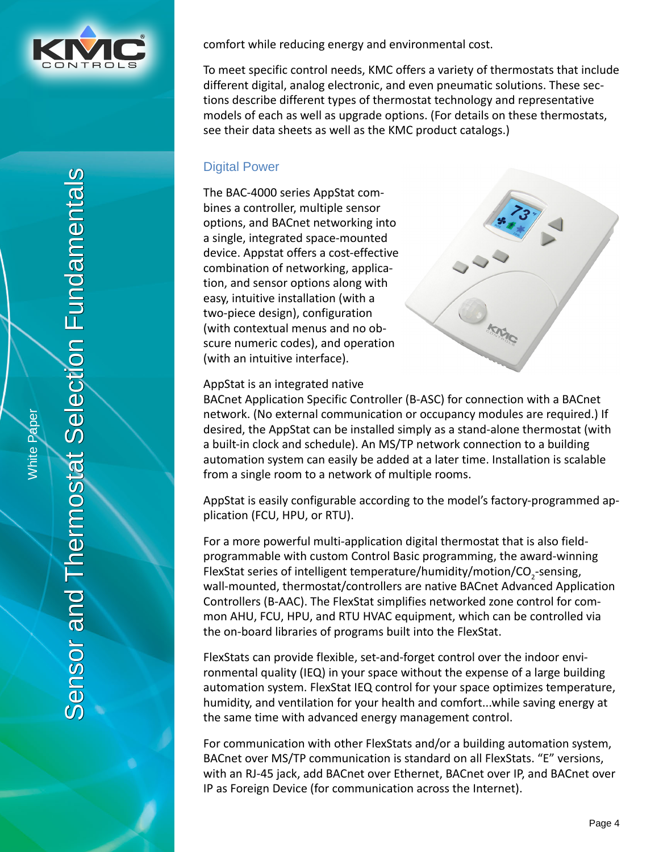<span id="page-3-0"></span>

ection Fundamentals Sensor and Thermostat Selection Fundamentals $\overline{\Theta}$ Sensor and Thermostat

comfort while reducing energy and environmental cost.

To meet specific control needs, KMC offers a variety of thermostats that include different digital, analog electronic, and even pneumatic solutions. These sections describe different types of thermostat technology and representative models of each as well as upgrade options. (For details on these thermostats, see their data sheets as well as the KMC product catalogs.)

#### Digital Power

The BAC-4000 series AppStat combines a controller, multiple sensor options, and BACnet networking into a single, integrated space-mounted device. Appstat offers a cost-effective combination of networking, application, and sensor options along with easy, intuitive installation (with a two-piece design), configuration (with contextual menus and no obscure numeric codes), and operation (with an intuitive interface).



AppStat is an integrated native

BACnet Application Specific Controller (B-ASC) for connection with a BACnet network. (No external communication or occupancy modules are required.) If desired, the AppStat can be installed simply as a stand-alone thermostat (with a built-in clock and schedule). An MS/TP network connection to a building automation system can easily be added at a later time. Installation is scalable from a single room to a network of multiple rooms.

AppStat is easily configurable according to the model's factory-programmed application (FCU, HPU, or RTU).

For a more powerful multi-application digital thermostat that is also fieldprogrammable with custom Control Basic programming, the award-winning FlexStat series of intelligent temperature/humidity/motion/CO<sub>2</sub>-sensing, wall-mounted, thermostat/controllers are native BACnet Advanced Application Controllers (B-AAC). The FlexStat simplifies networked zone control for common AHU, FCU, HPU, and RTU HVAC equipment, which can be controlled via the on-board libraries of programs built into the FlexStat.

FlexStats can provide flexible, set-and-forget control over the indoor environmental quality (IEQ) in your space without the expense of a large building automation system. FlexStat IEQ control for your space optimizes temperature, humidity, and ventilation for your health and comfort...while saving energy at the same time with advanced energy management control.

For communication with other FlexStats and/or a building automation system, BACnet over MS/TP communication is standard on all FlexStats. "E" versions, with an RJ-45 jack, add BACnet over Ethernet, BACnet over IP, and BACnet over IP as Foreign Device (for communication across the Internet).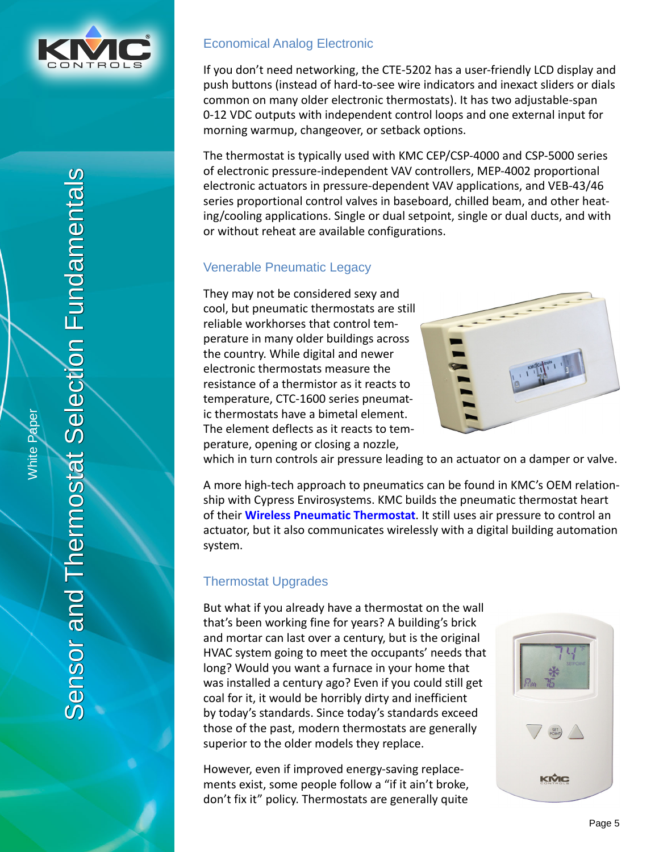<span id="page-4-0"></span>

Economical Analog Electronic

If you don't need networking, the CTE-5202 has a user-friendly LCD display and push buttons (instead of hard-to-see wire indicators and inexact sliders or dials common on many older electronic thermostats). It has two adjustable-span 0-12 VDC outputs with independent control loops and one external input for morning warmup, changeover, or setback options.

The thermostat is typically used with KMC CEP/CSP-4000 and CSP-5000 series of electronic pressure-independent VAV controllers, MEP-4002 proportional electronic actuators in pressure-dependent VAV applications, and VEB-43/46 series proportional control valves in baseboard, chilled beam, and other heating/cooling applications. Single or dual setpoint, single or dual ducts, and with or without reheat are available configurations.

## Venerable Pneumatic Legacy

They may not be considered sexy and cool, but pneumatic thermostats are still reliable workhorses that control temperature in many older buildings across the country. While digital and newer electronic thermostats measure the resistance of a thermistor as it reacts to temperature, CTC-1600 series pneumatic thermostats have a bimetal element. The element deflects as it reacts to temperature, opening or closing a nozzle,



which in turn controls air pressure leading to an actuator on a damper or valve.

A more high-tech approach to pneumatics can be found in KMC's OEM relationship with Cypress Envirosystems. KMC builds the pneumatic thermostat heart of their **[Wireless Pneumatic Thermostat](http://www.cypressenvirosystems.com/products/wireless-pneumatic-thermostat/)**. It still uses air pressure to control an actuator, but it also communicates wirelessly with a digital building automation system.

## Thermostat Upgrades

But what if you already have a thermostat on the wall that's been working fine for years? A building's brick and mortar can last over a century, but is the original HVAC system going to meet the occupants' needs that long? Would you want a furnace in your home that was installed a century ago? Even if you could still get coal for it, it would be horribly dirty and inefficient by today's standards. Since today's standards exceed those of the past, modern thermostats are generally superior to the older models they replace.

However, even if improved energy-saving replacements exist, some people follow a "if it ain't broke, don't fix it" policy. Thermostats are generally quite



White Paper

**Mhite Paper**